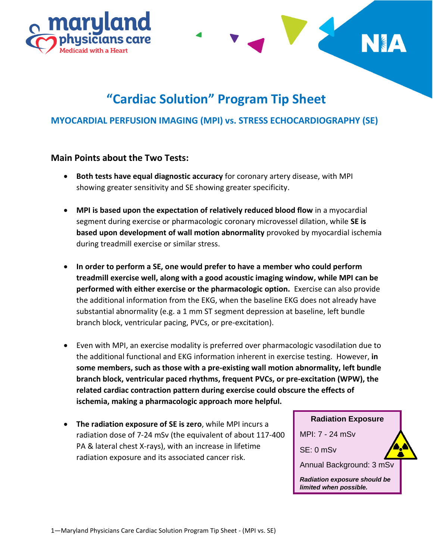



## **MYOCARDIAL PERFUSION IMAGING (MPI) vs. STRESS ECHOCARDIOGRAPHY (SE)**

#### **Main Points about the Two Tests:**

- **Both tests have equal diagnostic accuracy** for coronary artery disease, with MPI showing greater sensitivity and SE showing greater specificity.
- **MPI is based upon the expectation of relatively reduced blood flow** in a myocardial segment during exercise or pharmacologic coronary microvessel dilation, while **SE is based upon development of wall motion abnormality** provoked by myocardial ischemia during treadmill exercise or similar stress.
- **In order to perform a SE, one would prefer to have a member who could perform treadmill exercise well, along with a good acoustic imaging window, while MPI can be performed with either exercise or the pharmacologic option.** Exercise can also provide the additional information from the EKG, when the baseline EKG does not already have substantial abnormality (e.g. a 1 mm ST segment depression at baseline, left bundle branch block, ventricular pacing, PVCs, or pre-excitation).
- Even with MPI, an exercise modality is preferred over pharmacologic vasodilation due to the additional functional and EKG information inherent in exercise testing. However, **in some members, such as those with a pre-existing wall motion abnormality, left bundle branch block, ventricular paced rhythms, frequent PVCs, or pre-excitation (WPW), the related cardiac contraction pattern during exercise could obscure the effects of ischemia, making a pharmacologic approach more helpful.**
- **The radiation exposure of SE is zero**, while MPI incurs a radiation dose of 7-24 mSv (the equivalent of about 117-400 PA & lateral chest X-rays), with an increase in lifetime radiation exposure and its associated cancer risk.

**Radiation Exposure** MPI: 7 - 24 mSv SE: 0 mSv Annual Background: 3 mSv *Radiation exposure should be limited when possible.*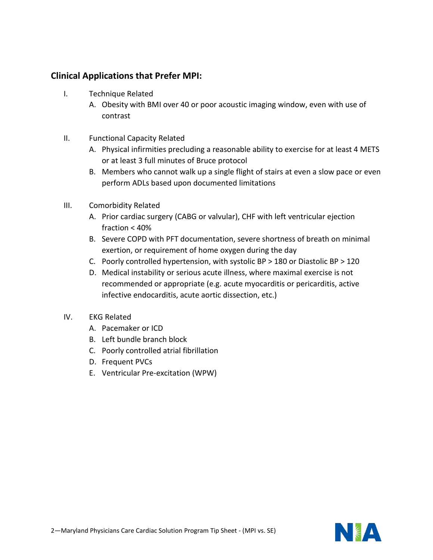## **Clinical Applications that Prefer MPI:**

- I. Technique Related
	- A. Obesity with BMI over 40 or poor acoustic imaging window, even with use of contrast
- II. Functional Capacity Related
	- A. Physical infirmities precluding a reasonable ability to exercise for at least 4 METS or at least 3 full minutes of Bruce protocol
	- B. Members who cannot walk up a single flight of stairs at even a slow pace or even perform ADLs based upon documented limitations
- III. Comorbidity Related
	- A. Prior cardiac surgery (CABG or valvular), CHF with left ventricular ejection fraction < 40%
	- B. Severe COPD with PFT documentation, severe shortness of breath on minimal exertion, or requirement of home oxygen during the day
	- C. Poorly controlled hypertension, with systolic BP > 180 or Diastolic BP > 120
	- D. Medical instability or serious acute illness, where maximal exercise is not recommended or appropriate (e.g. acute myocarditis or pericarditis, active infective endocarditis, acute aortic dissection, etc.)
- IV. EKG Related
	- A. Pacemaker or ICD
	- B. Left bundle branch block
	- C. Poorly controlled atrial fibrillation
	- D. Frequent PVCs
	- E. Ventricular Pre-excitation (WPW)

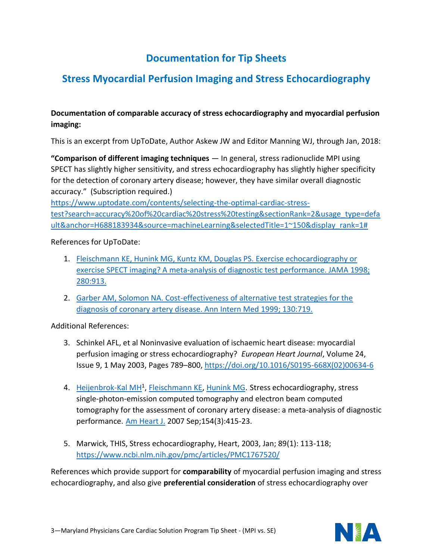# **Documentation for Tip Sheets**

# **Stress Myocardial Perfusion Imaging and Stress Echocardiography**

## **Documentation of comparable accuracy of stress echocardiography and myocardial perfusion imaging:**

This is an excerpt from UpToDate, Author Askew JW and Editor Manning WJ, through Jan, 2018:

**"Comparison of different imaging techniques** — In general, stress radionuclide MPI using SPECT has slightly higher sensitivity, and stress echocardiography has slightly higher specificity for the detection of coronary artery disease; however, they have similar overall diagnostic accuracy." (Subscription required.)

[https://www.uptodate.com/contents/selecting-the-optimal-cardiac-stress](https://www.uptodate.com/contents/selecting-the-optimal-cardiac-stress-test?search=accuracy%20of%20cardiac%20stress%20testing§ionRank=2&usage_type=default&anchor=H688183934&source=machineLearning&selectedTitle=1~150&display_rank=1%23)[test?search=accuracy%20of%20cardiac%20stress%20testing&sectionRank=2&usage\\_type=defa](https://www.uptodate.com/contents/selecting-the-optimal-cardiac-stress-test?search=accuracy%20of%20cardiac%20stress%20testing§ionRank=2&usage_type=default&anchor=H688183934&source=machineLearning&selectedTitle=1~150&display_rank=1%23) [ult&anchor=H688183934&source=machineLearning&selectedTitle=1~150&display\\_rank=1#](https://www.uptodate.com/contents/selecting-the-optimal-cardiac-stress-test?search=accuracy%20of%20cardiac%20stress%20testing§ionRank=2&usage_type=default&anchor=H688183934&source=machineLearning&selectedTitle=1~150&display_rank=1%23)

### References for UpToDate:

- 1. [Fleischmann KE, Hunink MG, Kuntz KM, Douglas PS. Exercise echocardiography or](https://www.uptodate.com/contents/selecting-the-optimal-cardiac-stress-test/abstract/16)  [exercise SPECT imaging? A meta-analysis of diagnostic test performance. JAMA](https://www.uptodate.com/contents/selecting-the-optimal-cardiac-stress-test/abstract/16) 1998; [280:913.](https://www.uptodate.com/contents/selecting-the-optimal-cardiac-stress-test/abstract/16)
- 2. [Garber AM, Solomon NA. Cost-effectiveness of alternative test strategies for the](https://www.uptodate.com/contents/selecting-the-optimal-cardiac-stress-test/abstract/17)  [diagnosis of coronary artery disease. Ann Intern Med 1999; 130:719.](https://www.uptodate.com/contents/selecting-the-optimal-cardiac-stress-test/abstract/17)

Additional References:

- 3. Schinkel AFL, et al Noninvasive evaluation of ischaemic heart disease: myocardial perfusion imaging or stress echocardiography? *European Heart Journal*, Volume 24, Issue 9, 1 May 2003, Pages 789–800, [https://doi.org/10.1016/S0195-668X\(02\)00634-6](https://doi.org/10.1016/S0195-668X(02)00634-6)
- 4. [Heijenbrok-Kal MH](https://www.ncbi.nlm.nih.gov/pubmed/?term=Heijenbrok-Kal%20MH%5BAuthor%5D&cauthor=true&cauthor_uid=17719283)<sup>1</sup>, [Fleischmann KE,](https://www.ncbi.nlm.nih.gov/pubmed/?term=Fleischmann%20KE%5BAuthor%5D&cauthor=true&cauthor_uid=17719283) [Hunink MG.](https://www.ncbi.nlm.nih.gov/pubmed/?term=Hunink%20MG%5BAuthor%5D&cauthor=true&cauthor_uid=17719283) Stress echocardiography, stress single-photon-emission computed tomography and electron beam computed tomography for the assessment of coronary artery disease: a meta-analysis of diagnostic performance. [Am Heart J.](https://www.ncbi.nlm.nih.gov/pubmed/17719283?dopt=Abstract) 2007 Sep;154(3):415-23.
- 5. Marwick, THIS, Stress echocardiography, Heart, 2003, Jan; 89(1): 113-118; <https://www.ncbi.nlm.nih.gov/pmc/articles/PMC1767520/>

References which provide support for **comparability** of myocardial perfusion imaging and stress echocardiography, and also give **preferential consideration** of stress echocardiography over